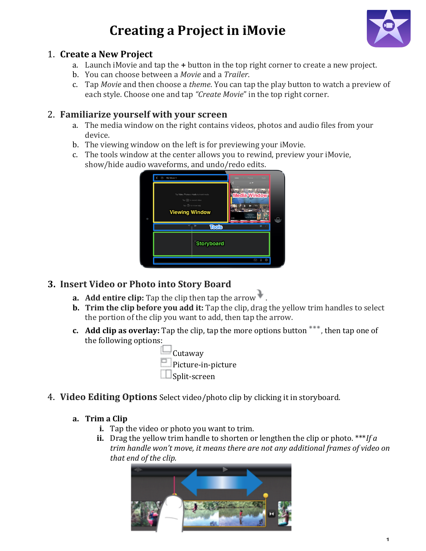# **Creating a Project in iMovie**



1

#### 1. **Create a New Project**

- a. Launch iMovie and tap the **+** button in the top right corner to create a new project.
- b. You!can!choose!between!a!*Movie* and!a!*Trailer*.!
- c. Tap *Movie* and then choose a *theme*. You can tap the play button to watch a preview of each style. Choose one and tap *"Create Movie"* in the top right corner.

#### 2. **Familiarize yourself with your screen**

- a. The media window on the right contains videos, photos and audio files from your device.
- b. The viewing window on the left is for previewing your iMovie.
- c. The tools window at the center allows you to rewind, preview your iMovie, show/hide audio waveforms, and undo/redo edits.

| Θ | My Movie 1<br>(2)<br>Tap Video, Photos or Audio to insert media.<br>Tap (O) to record video<br>Tap (2) for more help<br><b>Viewing Window</b><br><b>Tools</b><br>п |            | Photos - Audio<br>Video<br>AT 1<br>2015<br><b>Media Window</b> |  |
|---|--------------------------------------------------------------------------------------------------------------------------------------------------------------------|------------|----------------------------------------------------------------|--|
|   |                                                                                                                                                                    | Storyboard | $\theta$<br>$\circledcirc$<br>ම                                |  |
|   |                                                                                                                                                                    |            |                                                                |  |

### **3. Insert)Video)or)Photo into)Story)Board**

- **a. Add entire clip:** Tap the clip then tap the arrow  $\cdot$  .
- **b. Trim the clip before you add it:** Tap the clip, drag the yellow trim handles to select the portion of the clip you want to add, then tap the arrow.
- **c. Add clip as overlay:** Tap the clip, tap the more options button , then tap one of the following options:

 $\Box$ Cutaway Picture-in-picture  $\square$ Split-screen

4. **Video Editing Options** Select video/photo clip by clicking it in storyboard.

#### **a. Trim)a)Clip**

- **i.** Tap the video or photo you want to trim.
- **ii.** Drag the yellow trim handle to shorten or lengthen the clip or photo. \*\*\**If a trim handle won't move, it means there are not any additional frames of video on that end of the clip.*

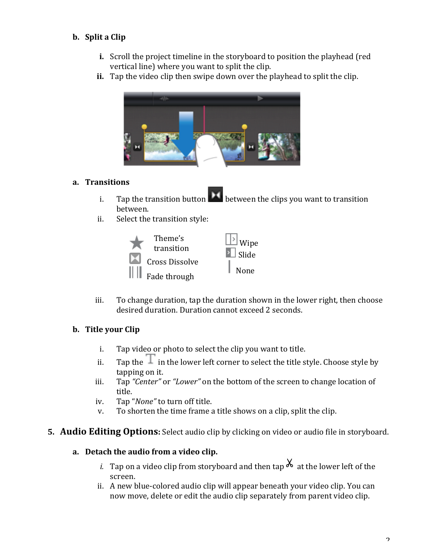#### **b.** Split a Clip

- **i.** Scroll the project timeline in the storyboard to position the playhead (red) vertical line) where you want to split the clip.
- **ii.** Tap the video clip then swipe down over the playhead to split the clip.



#### **a. Transitions**

- i. Tap the transition button **button** between the clips you want to transition between.
- ii. Select the transition style:



iii. To change duration, tap the duration shown in the lower right, then choose desired duration. Duration cannot exceed 2 seconds.

#### **b.** Title your Clip

- i. Tap video or photo to select the clip you want to title.
- ii. Tap the  $\mathbb{I}$  in the lower left corner to select the title style. Choose style by tapping on it.
- iii. Tap "Center" or "Lower" on the bottom of the screen to change location of title.
- iv. Tap "*None*" to turn off title.
- v. To shorten the time frame a title shows on a clip, split the clip.

#### **5. Audio Editing Options:** Select audio clip by clicking on video or audio file in storyboard.

#### **a. Detach)the)audio)from)a)video)clip.**

- *i.* Tap on a video clip from storyboard and then tap  $\chi$  at the lower left of the screen.
- ii. A new blue-colored audio clip will appear beneath your video clip. You can now move, delete or edit the audio clip separately from parent video clip.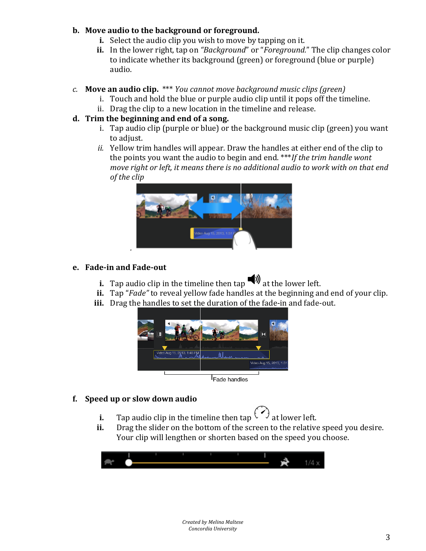#### **b.** Move audio to the background or foreground.

- **i.** Select the audio clip you wish to move by tapping on it.
- ii. In the lower right, tap on "Background" or "*Foreground.*" The clip changes color to indicate whether its background (green) or foreground (blue or purple) audio.

#### *c.* **Move)an)audio)clip.** \*\*\* *You cannot/move/background/music/clips (green)*

- i. Touch and hold the blue or purple audio clip until it pops off the timeline.
- ii. Drag the clip to a new location in the timeline and release.

#### **d. Trim)the)beginning)and)end)of)a)song.**

- i. Tap audio clip (purple or blue) or the background music clip (green) you want to adjust.
- *ii.* Yellow trim handles will appear. Draw the handles at either end of the clip to the points you want the audio to begin and end. \*\*\**If the trim handle wont move right or left, it means there is no additional audio to work with on that end of the clip*



#### **e.** Fade-in and Fade-out

- **i.** Tap audio clip in the timeline then  $\tan \phi$  at the lower left.
- **ii.** Tap "*Fade*" to reveal yellow fade handles at the beginning and end of your clip.
- **iii.** Drag the handles to set the duration of the fade-in and fade-out.



#### **f. Speed up)or slow)down)audio**

- **i.** Tap audio clip in the timeline then tap  $\int \int dV$  at lower left.
- **ii.** Drag the slider on the bottom of the screen to the relative speed you desire. Your clip will lengthen or shorten based on the speed you choose.